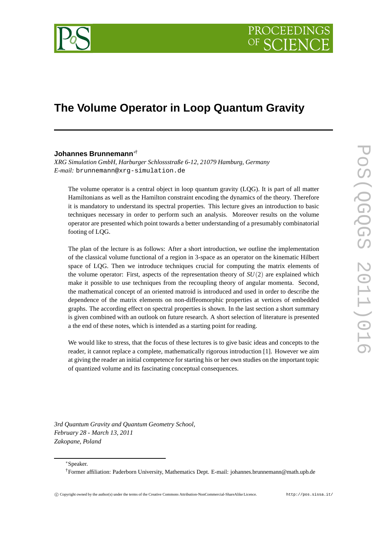

# **The Volume Operator in Loop Quantum Gravity**

## **Johannes Brunnemann**∗†

*XRG Simulation GmbH, Harburger Schlossstraße 6-12, 21079 Hamburg, Germany E-mail:* brunnemann@xrg-simulation.de

The volume operator is a central object in loop quantum gravity (LQG). It is part of all matter Hamiltonians as well as the Hamilton constraint encoding the dynamics of the theory. Therefore it is mandatory to understand its spectral properties. This lecture gives an introduction to basic techniques necessary in order to perform such an analysis. Moreover results on the volume operator are presented which point towards a better understanding of a presumably combinatorial footing of LQG.

The plan of the lecture is as follows: After a short introduction, we outline the implementation of the classical volume functional of a region in 3-space as an operator on the kinematic Hilbert space of LQG. Then we introduce techniques crucial for computing the matrix elements of the volume operator: First, aspects of the representation theory of *SU*(2) are explained which make it possible to use techniques from the recoupling theory of angular momenta. Second, the mathematical concept of an oriented matroid is introduced and used in order to describe the dependence of the matrix elements on non-diffeomorphic properties at vertices of embedded graphs. The according effect on spectral properties is shown. In the last section a short summary is given combined with an outlook on future research. A short selection of literature is presented a the end of these notes, which is intended as a starting point for reading.

We would like to stress, that the focus of these lectures is to give basic ideas and concepts to the reader, it cannot replace a complete, mathematically rigorous introduction [1]. However we aim at giving the reader an initial competence for starting his or her own studies on the important topic of quantized volume and its fascinating conceptual consequences.

*3rd Quantum Gravity and Quantum Geometry School, February 28 - March 13, 2011 Zakopane, Poland*

∗Speaker.

†Former affiliation: Paderborn University, Mathematics Dept. E-mail: johannes.brunnemann@math.upb.de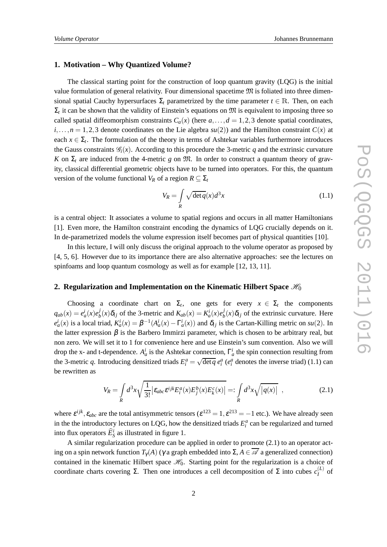## **1. Motivation – Why Quantized Volume?**

The classical starting point for the construction of loop quantum gravity (LQG) is the initial value formulation of general relativity. Four dimensional spacetime  $\mathfrak{M}$  is foliated into three dimensional spatial Cauchy hypersurfaces  $\Sigma_t$  parametrized by the time parameter  $t \in \mathbb{R}$ . Then, on each  $\Sigma_t$  it can be shown that the validity of Einstein's equations on  $\mathfrak{M}$  is equivalent to imposing three so called spatial diffeomorphism constraints  $C_a(x)$  (here  $a, \ldots, d = 1, 2, 3$  denote spatial coordinates,  $i, \ldots, n = 1, 2, 3$  denote coordinates on the Lie algebra  $su(2)$ ) and the Hamilton constraint  $C(x)$  at each  $x \in \Sigma_t$ . The formulation of the theory in terms of Ashtekar variables furthermore introduces the Gauss constraints  $\mathcal{G}_i(x)$ . According to this procedure the 3-metric *q* and the extrinsic curvature *K* on  $\Sigma_t$  are induced from the 4-metric *g* on  $\mathfrak{M}$ . In order to construct a quantum theory of gravity, classical differential geometric objects have to be turned into operators. For this, the quantum version of the volume functional *V*<sup>*R*</sup> of a region  $R \subseteq \Sigma$ <sup>*t*</sup>

$$
V_R = \int\limits_R \sqrt{\det q}(x) d^3 x \tag{1.1}
$$

is a central object: It associates a volume to spatial regions and occurs in all matter Hamiltonians [1]. Even more, the Hamilton constraint encoding the dynamics of LQG crucially depends on it. In de-parametrized models the volume expression itself becomes part of physical quantities [10].

In this lecture, I will only discuss the original approach to the volume operator as proposed by [4, 5, 6]. However due to its importance there are also alternative approaches: see the lectures on spinfoams and loop quantum cosmology as well as for example [12, 13, 11].

## **2. Regularization and Implementation on the Kinematic Hilbert Space**  $\mathscr{H}_0$

Choosing a coordinate chart on  $\Sigma_t$ , one gets for every  $x \in \Sigma_t$  the components  $q_{ab}(x) = e_a^i(x)e_b^j$  $\delta$ <sub>*b*</sub>
(*x*) $\delta$ <sub>*b*</sub><sub>*j*</sub> of the 3-metric and  $K_{ab}(x) = K_a^i(x)e_b^j$  $b<sub>i</sub>(x)\delta<sub>ij</sub>$  of the extrinsic curvature. Here  $e_a^i(x)$  is a local triad,  $K_a^i(x) = \beta^{-1}(A_a^i(x) - \Gamma_a^i(x))$  and  $\delta_{ij}$  is the Cartan-Killing metric on  $su(2)$ . In the latter expression  $\beta$  is the Barbero Immirzi parameter, which is chosen to be arbitrary real, but non zero. We will set it to 1 for convenience here and use Einstein's sum convention. Also we will drop the x- and t-dependence.  $A_a^i$  is the Ashtekar connection,  $\Gamma_a^i$  the spin connection resulting from the 3-metric *q*. Introducing densitized triads  $E_i^a = \sqrt{\det q} e_i^a$  ( $e_i^a$  denotes the inverse triad) (1.1) can be rewritten as

$$
V_R = \int_R d^3x \sqrt{\frac{1}{3!} \left| \varepsilon_{abc} \varepsilon^{ijk} E_i^a(x) E_j^b(x) E_k^c(x) \right|} =: \int_R d^3x \sqrt{\left| q(x) \right|} \quad , \tag{2.1}
$$

where  $\varepsilon^{ijk}$ ,  $\varepsilon_{abc}$  are the total antisymmetric tensors ( $\varepsilon^{123} = 1$ ,  $\varepsilon^{213} = -1$  etc.). We have already seen in the the introductory lectures on LQG, how the densitized triads  $E_i^a$  can be regularized and turned into flux operators  $\widehat{E}_S^i$  as illustrated in figure 1.

A similar regularization procedure can be applied in order to promote (2.1) to an operator acting on a spin network function  $T_{\gamma}(A)$  ( $\gamma$  a graph embedded into  $\Sigma$ ,  $A \in \overline{\mathscr{A}}$  a generalized connection) contained in the kinematic Hilbert space  $\mathcal{H}_0$ . Starting point for the regularization is a choice of coordinate charts covering Σ. Then one introduces a cell decomposition of Σ into cubes  $c_I^{(L)}$  $I$ <sup>L</sup> of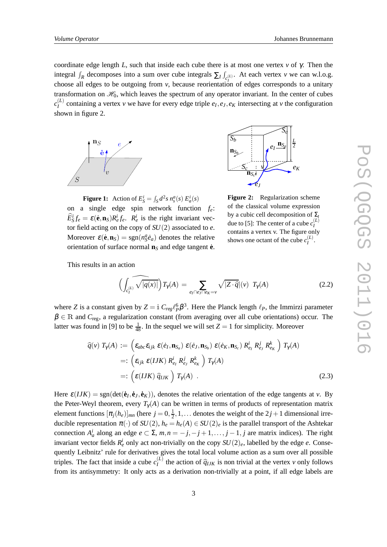coordinate edge length *L*, such that inside each cube there is at most one vertex *v* of  $\gamma$ . Then the integral  $\int_R$  decomposes into a sum over cube integrals  $\sum_l \int_{c_l^{(L)}}$ . At each vertex *v* we can w.l.o.g. choose all edges to be outgoing from *v*, because reorientation of edges corresponds to a unitary transformation on  $\mathcal{H}_0$ , which leaves the spectrum of any operator invariant. In the center of cubes  $c_I^{(L)}$  $I_I^{(L)}$  containing a vertex *v* we have for every edge triple  $e_I, e_J, e_K$  intersecting at *v* the configuration shown in figure 2.





**Figure 1:** Action of  $E_S^i = \int_S d^2s \, n_s^a(s) \, E_a^i(s)$ on a single edge spin network function *fe*:  $\hat{E}_S^i f_e = \varepsilon(\dot{\mathbf{e}}, \mathbf{n}_S) R_e^i f_e$ .  $R_e^i$  is the right invariant vector field acting on the copy of *SU*(2) associated to *e*. Moreover  $\varepsilon(\dot{\mathbf{e}}, \mathbf{n}_S) = \text{sgn}(n_S^a \dot{e}_a)$  denotes the relative orientation of surface normal  $\mathbf{n}_S$  and edge tangent  $\dot{\mathbf{e}}$ .

**Figure 2:** Regularization scheme of the classical volume expression by a cubic cell decomposition of Σ*<sup>t</sup>* due to [5]: The center of a cube  $c_I^{(L)}$ *I* contains a vertex v. The figure only shows one octant of the cube  $c_I^{(L)}$ .

This results in an action

$$
\left(\int_{c_I^{(L)}} \widehat{\sqrt{|q(x)|}}\right) T_\gamma(A) = \sum_{e_I \cap e_J \cap e_K = \nu} \sqrt{|Z \cdot \widehat{q}|} (\nu) T_\gamma(A) \tag{2.2}
$$

where *Z* is a constant given by  $Z = \text{i} C_{reg} \ell_p^6 \beta^3$ . Here the Planck length  $\ell_p$ , the Immirzi parameter  $\beta \in \mathbb{R}$  and  $C_{\text{reg}}$ , a regularization constant (from averaging over all cube orientations) occur. The latter was found in [9] to be  $\frac{1}{48}$ . In the sequel we will set  $Z = 1$  for simplicity. Moreover

$$
\widehat{q}(v) T_{\gamma}(A) := \left( \varepsilon_{abc} \varepsilon_{ijk} \ \varepsilon(e_I, \mathbf{n}_{S_a}) \ \varepsilon(e_J, \mathbf{n}_{S_b}) \ \varepsilon(e_K, \mathbf{n}_{S_c}) \ R_{e_I}^i \ R_{e_J}^j \ R_{e_K}^k \right) T_{\gamma}(A)
$$
\n
$$
=: \left( \varepsilon_{ijk} \ \varepsilon(IJK) \ R_{e_I}^i \ R_{e_J}^j \ R_{e_K}^k \right) T_{\gamma}(A)
$$
\n
$$
=: \left( \varepsilon(IJK) \ \widehat{q}_{IJK} \right) T_{\gamma}(A) \ . \tag{2.3}
$$

Here  $\varepsilon( IJK) = \text{sgn}(\text{det}(\dot{\mathbf{e}}_I, \dot{\mathbf{e}}_J, \dot{\mathbf{e}}_K))$ , denotes the relative orientation of the edge tangents at *v*. By the Peter-Weyl theorem, every  $T_{\gamma}(A)$  can be written in terms of products of representation matrix element functions  $[\pi_j(h_e)]_{mn}$  (here  $j = 0, \frac{1}{2}$ )  $\frac{1}{2}$ , 1,... denotes the weight of the 2*j* + 1 dimensional irreducible representation  $\pi(\cdot)$  of  $SU(2)$ ,  $h_e = h_e(A) \in SU(2)_e$  is the parallel transport of the Ashtekar connection  $A_a^i$  along an edge  $e \subset \Sigma$ ,  $m, n = -j, -j + 1, \ldots, j - 1, j$  are matrix indices). The right invariant vector fields  $R_e^i$  only act non-trivially on the copy  $SU(2)_e$ , labelled by the edge *e*. Consequently Leibnitz' rule for derivatives gives the total local volume action as a sum over all possible triples. The fact that inside a cube  $c_l^{(L)}$  $\hat{q}_{IJK}$  is non trivial at the vertex *v* only follows from its antisymmetry: It only acts as a derivation non-trivially at a point, if all edge labels are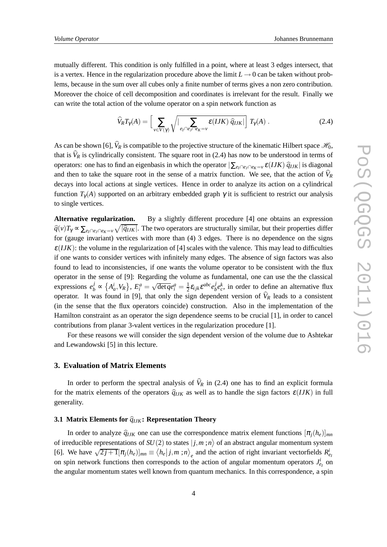mutually different. This condition is only fulfilled in a point, where at least 3 edges intersect, that is a vertex. Hence in the regularization procedure above the limit  $L \rightarrow 0$  can be taken without problems, because in the sum over all cubes only a finite number of terms gives a non zero contribution. Moreover the choice of cell decomposition and coordinates is irrelevant for the result. Finally we can write the total action of the volume operator on a spin network function as

$$
\widehat{V}_RT_\gamma(A) = \left[ \sum_{v \in V(\gamma)} \sqrt{\left| \sum_{e_I \cap e_J \cap e_K = v} \varepsilon(IJK) \, \widehat{q}_{IJK} \right|} \right] T_\gamma(A) \,. \tag{2.4}
$$

As can be shown [6],  $\hat{V}_R$  is compatible to the projective structure of the kinematic Hilbert space  $\mathcal{H}_0$ , that is  $\hat{V}_R$  is cylindrically consistent. The square root in (2.4) has now to be understood in terms of operators: one has to find an eigenbasis in which the operator  $|\sum_{e_I \cap e_I \cap e_K=v} \varepsilon(IJK) \hat{q}_{IJK}|$  is diagonal and then to take the square root in the sense of a matrix function. We see, that the action of  $\widehat{V}_R$ decays into local actions at single vertices. Hence in order to analyze its action on a cylindrical function  $T_{\gamma}(A)$  supported on an arbitrary embedded graph  $\gamma$  it is sufficient to restrict our analysis to single vertices.

**Alternative regularization.** By a slightly different procedure [4] one obtains an expression  $\hat{q}(v)T_\gamma \propto \sum_{e_I \cap e_J \cap e_K = v} \sqrt{|\hat{q}_{IJK}|}$ . The two operators are structurally similar, but their properties differ for (gauge invariant) vertices with more than (4) 3 edges. There is no dependence on the signs  $\varepsilon(IJK)$ : the volume in the regularization of [4] scales with the valence. This may lead to difficulties if one wants to consider vertices with infinitely many edges. The absence of sign factors was also found to lead to inconsistencies, if one wants the volume operator to be consistent with the flux operator in the sense of [9]: Regarding the volume as fundamental, one can use the the classical expressions  $e_b^j \propto \{A_a^i, V_R\}$ ,  $E_i^a = \sqrt{\det q}e_i^a = \frac{1}{2}$  $\frac{1}{2}$ **ε**<sub>ijk</sub>ε<sup>abc</sup>e<sup>*j*</sup><sub>b</sub></sub>  $\partial_b^j e_c^k$ , in order to define an alternative flux operator. It was found in [9], that only the sign dependent version of  $\hat{V}_R$  leads to a consistent (in the sense that the flux operators coincide) construction. Also in the implementation of the Hamilton constraint as an operator the sign dependence seems to be crucial [1], in order to cancel contributions from planar 3-valent vertices in the regularization procedure [1].

For these reasons we will consider the sign dependent version of the volume due to Ashtekar and Lewandowski [5] in this lecture.

## **3. Evaluation of Matrix Elements**

In order to perform the spectral analysis of  $\hat{V}_R$  in (2.4) one has to find an explicit formula for the matrix elements of the operators  $\hat{q}_{IJK}$  as well as to handle the sign factors  $\varepsilon(IJK)$  in full generality.

## **3.1 Matrix Elements for**  $\hat{q}_{IJK}$ **: Representation Theory**

In order to analyze  $\hat{q}_{IJK}$  one can use the correspondence matrix element functions  $[\pi_i(h_e)]_{mn}$ of irreducible representations of  $SU(2)$  to states  $|j,m;n\rangle$  of an abstract angular momentum system [6]. We have  $\sqrt{2j+1} [\pi_j(h_e)]_{mn} \equiv \langle h_e | j, m ; n \rangle_e$  and the action of right invariant vectorfields  $R_{e_i}^i$ on spin network functions then corresponds to the action of angular momentum operators  $J_{e_I}^i$  on the angular momentum states well known from quantum mechanics. In this correspondence, a spin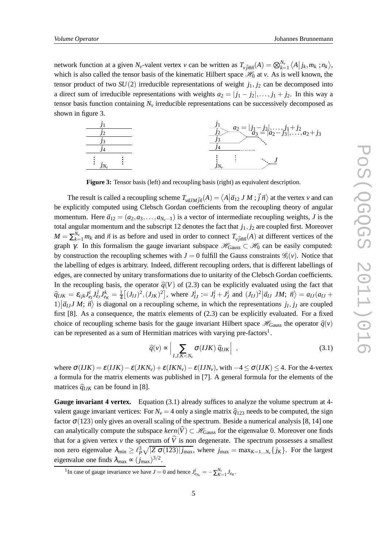network function at a given  $N_v$ -valent vertex v can be written as  $T_{v j m n}$  $(A) = \bigotimes_{k=1}^{N_v} \langle A | j_k, m_k ; n_k \rangle$ , which is also called the tensor basis of the kinematic Hilbert space  $\mathcal{H}_0$  at *v*. As is well known, the tensor product of two  $SU(2)$  irreducible representations of weight  $j_1, j_2$  can be decomposed into a direct sum of irreducible representations with weights  $a_2 = |j_1 - j_2|, \ldots, j_1 + j_2$ . In this way a tensor basis function containing  $N_\nu$  irreducible representations can be successively decomposed as shown in figure 3.



**Figure 3:** Tensor basis (left) and recoupling basis (right) as equivalent description.

The result is called a recoupling scheme  $T_{v\vec{a}JM\vec{f}\vec{n}}(A) = \langle A| \vec{a}_{12} J M; \vec{j} \vec{n} \rangle$  at the vertex *v* and can be explicitly computed using Clebsch Gordan coefficients from the recoupling theory of angular momentum. Here  $\vec{a}_{12} = (a_2, a_3, \dots, a_{N_v-1})$  is a vector of intermediate recoupling weights, *J* is the total angular momentum and the subscript 12 denotes the fact that  $j_1, j_2$  are coupled first. Moreover  $M = \sum_{k=1}^{N_v} m_k$  and  $\vec{n}$  is as before and used in order to connect  $T_{v\vec{j}\vec{m}\vec{n}}(A)$  at different vertices of the graph γ. In this formalism the gauge invariant subspace  $\mathcal{H}_{Gauss} \subset \mathcal{H}_0$  can be easily computed: by construction the recoupling schemes with  $J = 0$  fulfill the Gauss constraints  $\mathscr{G}_i(v)$ . Notice that the labelling of edges is arbitrary. Indeed, different recoupling orders, that is different labellings of edges, are connected by unitary transformations due to unitarity of the Clebsch Gordan coefficients. In the recoupling basis, the operator  $\hat{q}(V)$  of (2.3) can be explicitly evaluated using the fact that  $\hat{q}_{IJK} = \varepsilon_{ijk} J_{e_I}^i J_{e_J}^j J_{e_K}^k = \frac{1}{4} [(J_{IJ})^2, (J_{JK})^2]$ , where  $J_{IJ}^i := J_I^i + J_J^i$  and  $(J_{IJ})^2 |\vec{a}_{IJ} J M; \vec{n}\rangle = a_{IJ} (a_{IJ} +$  $1|\vec{a}_{IJ}J\vec{M}; \vec{n}\rangle$  is diagonal on a recoupling scheme, in which the representations  $j_I, j_J$  are coupled first [8]. As a consequence, the matrix elements of (2.3) can be explicitly evaluated. For a fixed choice of recoupling scheme basis for the gauge invariant Hilbert space  $\mathcal{H}_{\text{Gauss}}$  the operator  $\hat{q}(v)$ can be represented as a sum of Hermitian matrices with varying pre-factors<sup>1</sup>.

$$
\widehat{q}(v) \propto \left| \sum_{I,J,K < N_v} \sigma(IJK) \widehat{q}_{IJK} \right| \tag{3.1}
$$

where  $\sigma(IJK) = \varepsilon(IIK) - \varepsilon(JKN_v) + \varepsilon(IKN_v) - \varepsilon(IJN_v)$ , with  $-4 < \sigma(IIK) < 4$ . For the 4-vertex a formula for the matrix elements was published in [7]. A general formula for the elements of the matrices  $\hat{q}_{IJK}$  can be found in [8].

**Gauge invariant 4 vertex.** Equation (3.1) already suffices to analyze the volume spectrum at 4valent gauge invariant vertices: For  $N_v = 4$  only a single matrix  $\hat{q}_{123}$  needs to be computed, the sign factor  $\sigma(123)$  only gives an overall scaling of the spectrum. Beside a numerical analysis [8, 14] one can analytically compute the subspace  $kern(\widehat{V}) \subset \mathcal{H}_{\text{Gauss}}$  for the eigenvalue 0. Moreover one finds that for a given vertex *v* the spectrum of  $\hat{V}$  is non degenerate. The spectrum possesses a smallest non zero eigenvalue  $\lambda_{\min} \geq \ell_P^3 \sqrt{|Z \sigma(123)| j_{\max}}$ , where  $j_{\max} = \max_{K=1...N_v} \{j_K\}$ . For the largest eigenvalue one finds  $\lambda_{\text{max}} \propto (j_{\text{max}})^{3/2}$ .

<sup>&</sup>lt;sup>1</sup>In case of gauge invariance we have *J* = 0 and hence  $J_{e_{N_v}}^i = -\sum_{K=1}^{N_v} J_{e_K}$ .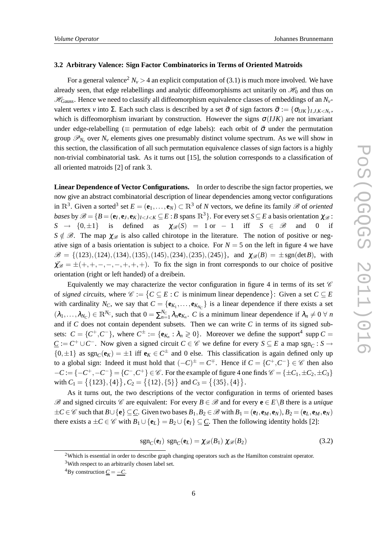#### **3.2 Arbitrary Valence: Sign Factor Combinatorics in Terms of Oriented Matroids**

For a general valence<sup>2</sup>  $N_v > 4$  an explicit computation of (3.1) is much more involved. We have already seen, that edge relabellings and analytic diffeomorphisms act unitarily on  $\mathcal{H}_0$  and thus on  $\mathcal{H}_{\text{Gauss}}$ . Hence we need to classify all diffeomorphism equivalence classes of embeddings of an  $N_{\nu}$ valent vertex *v* into  $\Sigma$ . Each such class is described by a set  $\vec{\sigma}$  of sign factors  $\vec{\sigma} := {\{\sigma_{IJK}\}}_{I,J,K \le N_\nu}$ , which is diffeomorphism invariant by construction. However the signs  $\sigma(IJK)$  are not invariant under edge-relabelling ( $\equiv$  permutation of edge labels): each orbit of  $\vec{\sigma}$  under the permutation group  $\mathscr{P}_{N_v}$  over  $N_v$  elements gives one presumably distinct volume spectrum. As we will show in this section, the classification of all such permutation equivalence classes of sign factors is a highly non-trivial combinatorial task. As it turns out [15], the solution corresponds to a classification of all oriented matroids [2] of rank 3.

**Linear Dependence of Vector Configurations.** In order to describe the sign factor properties, we now give an abstract combinatorial description of linear dependencies among vector configurations in  $\mathbb{R}^3$ . Given a sorted<sup>3</sup> set  $E = (\mathbf{e}_1, \dots, \mathbf{e}_N) \subset \mathbb{R}^3$  of *N* vectors, we define its family  $\mathscr{B}$  of *oriented bases* by  $\mathscr{B} = \{B = (\mathbf{e}_I, \mathbf{e}_J, \mathbf{e}_K)_{I \le J \le K} \subseteq E : B \text{ spans } \mathbb{R}^3\}$ . For every set  $S \subseteq E$  a basis orientation  $\chi_{\mathscr{B}}$ :  $S \rightarrow \{0,\pm 1\}$  is defined as  $\chi_{\mathscr{B}}(S) = 1$  or − 1 iff  $S \in \mathscr{B}$  and 0 if  $S \notin \mathcal{B}$ . The map  $\chi_{\mathcal{B}}$  is also called chirotope in the literature. The notion of positive or negative sign of a basis orientation is subject to a choice. For  $N = 5$  on the left in figure 4 we have  $\mathscr{B} = \{(123), (124), (134), (135), (145), (234), (235), (245)\}\$ , and  $\chi_{\mathscr{B}}(B) = \pm sgn(\det B)$ , with  $\chi_{\mathscr{B}} = \pm (+,+,-,-,-,+,+,+)$ . To fix the sign in front corresponds to our choice of positive orientation (right or left handed) of a dreibein.

Equivalently we may characterize the vector configuration in figure 4 in terms of its set  $\mathscr C$ of *signed circuits*, where  $\mathscr{C} := \{ C \subseteq E : C$  is minimum linear dependence  $\}$ : Given a set  $C \subseteq E$ with cardinality  $N_C$ , we say that  $C = \{e_{K_1}, \ldots, e_{K_{N_C}}\}$  is a linear dependence if there exists a set  $(\lambda_1, \ldots, \lambda_{N_C}) \in \mathbb{R}^{N_C}$ , such that  $0 = \sum_{n=1}^{N_C} \lambda_n \mathbf{e}_{K_n}$ . *C* is a minimum linear dependence if  $\lambda_n \neq 0 \ \forall n$ and if *C* does not contain dependent subsets. Then we can write *C* in terms of its signed subsets:  $C = \{C^+, C^-\}$ , where  $C^{\pm} := \{e_{K_n} : \lambda_n \geq 0\}$ . Moreover we define the support<sup>4</sup> supp  $C =$ *C* := *C*<sup>+</sup> ∪*C*<sup>−</sup>. Now given a signed circuit *C* ∈  $\mathscr C$  we define for every *S* ⊆ *E* a map sgn<sub>*C*</sub> : *S* →  $\{0, \pm 1\}$  as  $sgn_{C}(e_{K}) = \pm 1$  iff  $e_{K} \in C^{\pm}$  and 0 else. This classification is again defined only up to a global sign: Indeed it must hold that  $(-C)^{\pm} = C^{\mp}$ . Hence if  $C = \{C^{+}, C^{-}\}\in \mathscr{C}$  then also  $-C := \{-C^+, -C^-\} = \{C^-, C^+\} \in \mathscr{C}$ . For the example of figure 4 one finds  $\mathscr{C} = \{\pm C_1, \pm C_2, \pm C_3\}$ with  $C_1 = \{ \{123\}, \{4\} \}$ ,  $C_2 = \{ \{12\}, \{5\} \}$  and  $C_3 = \{ \{35\}, \{4\} \}$ .

As it turns out, the two descriptions of the vector configuration in terms of oriented bases  $\mathscr{B}$  and signed circuits  $\mathscr{C}$  are equivalent: For every  $B \in \mathscr{B}$  and for every  $e \in E \setminus B$  there is a *unique*  $\pm C \in \mathscr{C}$  such that  $B \cup \{e\} \subseteq \underline{C}$ . Given two bases  $B_1, B_2 \in \mathscr{B}$  with  $B_1 = (e_I, e_M, e_N)$ ,  $B_2 = (e_L, e_M, e_N)$ there exists a  $\pm C \in \mathcal{C}$  with  $B_1 \cup \{e_L\} = B_2 \cup \{e_I\} \subseteq \underline{C}$ . Then the following identity holds [2]:

$$
sgn_C(\mathbf{e}_I) \; sgn_C(\mathbf{e}_L) = \chi_{\mathcal{B}}(B_1) \; \chi_{\mathcal{B}}(B_2) \tag{3.2}
$$

<sup>&</sup>lt;sup>2</sup>Which is essential in order to describe graph changing operators such as the Hamilton constraint operator.

<sup>&</sup>lt;sup>3</sup>With respect to an arbitrarily chosen label set.

<sup>&</sup>lt;sup>4</sup>By construction  $\underline{C} = -C$ .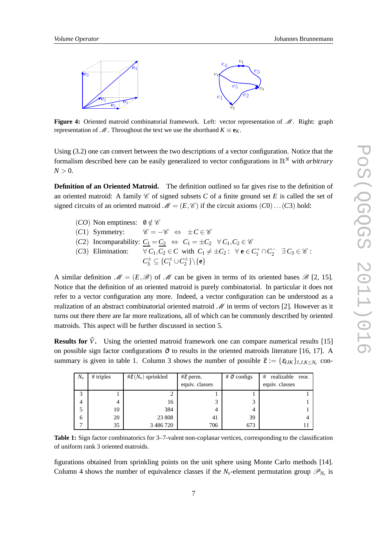

**Figure 4:** Oriented matroid combinatorial framework. Left: vector representation of  $\mathcal{M}$ . Right: graph representation of  $M$ . Throughout the text we use the shorthand  $K \equiv e_K$ .

Using (3.2) one can convert between the two descriptions of a vector configuration. Notice that the formalism described here can be easily generalized to vector configurations in <sup>R</sup>*<sup>N</sup>* with *arbitrary*  $N > 0$ .

**Definition of an Oriented Matroid.** The definition outlined so far gives rise to the definition of an oriented matroid: A family  $\mathscr C$  of signed subsets  $C$  of a finite ground set  $E$  is called the set of signed circuits of an oriented matroid  $\mathcal{M} = (E, \mathcal{C})$  if the circuit axioms  $(C0) \dots (C3)$  hold:

(*CO*) Non emptiness:  $0 \notin C$ <br>(*C*1) Symmetry:  $C = \mathscr{C} = -\mathscr{C} \Leftrightarrow \pm C \in \mathscr{C}$ (*C*2) Incomparability:  $\underline{C_1} = \underline{C_2} \Leftrightarrow C_1 = \pm C_2 \forall C_1, C_2 \in \mathscr{C}$ <br>(*C*3) Elimination:  $\forall C_1, C_2 \in C$  with  $C_1 \neq \pm C_2$ :  $\forall \mathbf{e} \in C$ (*C*3) Elimination:  $\forall C_1, C_2 \in C$  with  $C_1 \neq \pm C_2$ :  $\forall$  **e**  $\in C_1^+ \cap C_2^- \exists C_3 \in \mathcal{C}$ :  $C_3^{\pm} \subseteq \{C_1^{\pm} \cup C_2^{\pm}\}\backslash{\{\mathbf{e}\}}$ 

A similar definition  $\mathcal{M} = (E, \mathcal{B})$  of  $\mathcal{M}$  can be given in terms of its oriented bases  $\mathcal{B}$  [2, 15]. Notice that the definition of an oriented matroid is purely combinatorial. In particular it does not refer to a vector configuration any more. Indeed, a vector configuration can be understood as a realization of an abstract combinatorial oriented matroid  $\mathcal M$  in terms of vectors [2]. However as it turns out there there are far more realizations, all of which can be commonly described by oriented matroids. This aspect will be further discussed in section 5.

**Results for**  $\hat{V}$ **.** Using the oriented matroid framework one can compare numerical results [15] on possible sign factor configurations  $\vec{\sigma}$  to results in the oriented matroids literature [16, 17]. A summary is given in table 1. Column 3 shows the number of possible  $\vec{\varepsilon} := {\varepsilon_{IJK}}_{I,J,K \le N_\nu}$  con-

| $N_{\rm v}$  | $#$ triples | # $\vec{\epsilon}$ ( $N_v$ ) sprinkled | $\# \vec{\epsilon}$ perm. | # $\vec{\sigma}$ configs | # realizable reor. |
|--------------|-------------|----------------------------------------|---------------------------|--------------------------|--------------------|
|              |             |                                        | equiv. classes            |                          | equiv. classes     |
| 3            |             |                                        |                           |                          |                    |
| 4            | 4           | 16                                     | Ć                         |                          |                    |
| 5            | 10          | 384                                    | 4                         | 4                        |                    |
| 6            | 20          | 23 808                                 | 41                        | 39                       |                    |
| $\mathbf{r}$ | 35          | 3 486 720                              | 706                       | 673                      |                    |

**Table 1:** Sign factor combinatorics for 3–7-valent non-coplanar vertices, corresponding to the classification of uniform rank 3 oriented matroids.

figurations obtained from sprinkling points on the unit sphere using Monte Carlo methods [14]. Column 4 shows the number of equivalence classes if the  $N_v$ -element permutation group  $\mathscr{P}_{N_v}$  is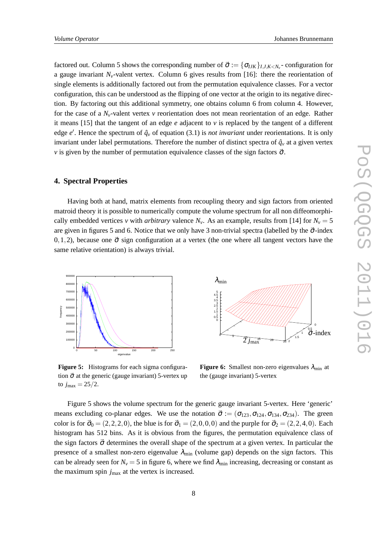factored out. Column 5 shows the corresponding number of  $\vec{\sigma} := {\{\sigma_{IJK}\}_{I,J,K < N_v}}$ - configuration for a gauge invariant  $N_v$ -valent vertex. Column 6 gives results from [16]: there the reorientation of single elements is additionally factored out from the permutation equivalence classes. For a vector configuration, this can be understood as the flipping of one vector at the origin to its negative direction. By factoring out this additional symmetry, one obtains column 6 from column 4. However, for the case of a *Nv*-valent vertex *v* reorientation does not mean reorientation of an edge. Rather it means [15] that the tangent of an edge *e* adjacent to *v* is replaced by the tangent of a different edge  $e'$ . Hence the spectrum of  $\hat{q}_v$  of equation (3.1) is *not invariant* under reorientations. It is only invariant under label permutations. Therefore the number of distinct spectra of  $\hat{q}_v$  at a given vertex *v* is given by the number of permutation equivalence classes of the sign factors  $\vec{\sigma}$ .

# **4. Spectral Properties**

Having both at hand, matrix elements from recoupling theory and sign factors from oriented matroid theory it is possible to numerically compute the volume spectrum for all non diffeomorphically embedded vertices *v* with *arbitrary* valence  $N_v$ . As an example, results from [14] for  $N_v = 5$ are given in figures 5 and 6. Notice that we only have 3 non-trivial spectra (labelled by the  $\vec{\sigma}$ -index 0,1,2), because one  $\vec{\sigma}$  sign configuration at a vertex (the one where all tangent vectors have the same relative orientation) is always trivial.



**Figure 5:** Histograms for each sigma configuration  $\vec{\sigma}$  at the generic (gauge invariant) 5-vertex up to  $j_{\text{max}} = 25/2$ .



**Figure 6:** Smallest non-zero eigenvalues  $\lambda_{\min}$  at the (gauge invariant) 5-vertex

Figure 5 shows the volume spectrum for the generic gauge invariant 5-vertex. Here 'generic' means excluding co-planar edges. We use the notation  $\vec{\sigma} := (\sigma_{123}, \sigma_{124}, \sigma_{134}, \sigma_{234})$ . The green color is for  $\vec{\sigma}_0 = (2,2,2,0)$ , the blue is for  $\vec{\sigma}_1 = (2,0,0,0)$  and the purple for  $\vec{\sigma}_2 = (2,2,4,0)$ . Each histogram has 512 bins. As it is obvious from the figures, the permutation equivalence class of the sign factors  $\vec{\sigma}$  determines the overall shape of the spectrum at a given vertex. In particular the presence of a smallest non-zero eigenvalue  $\lambda_{\text{min}}$  (volume gap) depends on the sign factors. This can be already seen for  $N_v = 5$  in figure 6, where we find  $\lambda_{min}$  increasing, decreasing or constant as the maximum spin  $j_{\text{max}}$  at the vertex is increased.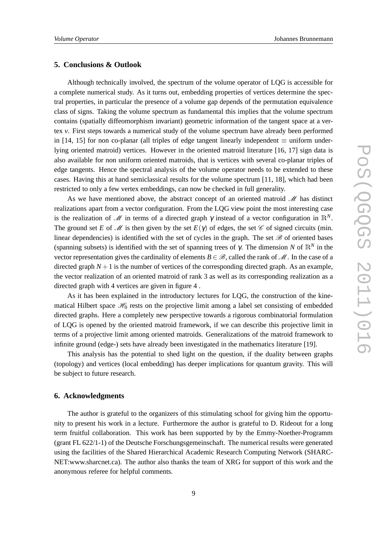# **5. Conclusions & Outlook**

Although technically involved, the spectrum of the volume operator of LQG is accessible for a complete numerical study. As it turns out, embedding properties of vertices determine the spectral properties, in particular the presence of a volume gap depends of the permutation equivalence class of signs. Taking the volume spectrum as fundamental this implies that the volume spectrum contains (spatially diffeomorphism invariant) geometric information of the tangent space at a vertex *v*. First steps towards a numerical study of the volume spectrum have already been performed in [14, 15] for non co-planar (all triples of edge tangent linearly independent  $\equiv$  uniform underlying oriented matroid) vertices. However in the oriented matroid literature [16, 17] sign data is also available for non uniform oriented matroids, that is vertices with several co-planar triples of edge tangents. Hence the spectral analysis of the volume operator needs to be extended to these cases. Having this at hand semiclassical results for the volume spectrum [11, 18], which had been restricted to only a few vertex embeddings, can now be checked in full generality.

As we have mentioned above, the abstract concept of an oriented matroid  $\mathcal{M}$  has distinct realizations apart from a vector configuration. From the LQG view point the most interesting case is the realization of M in terms of a directed graph  $\gamma$  instead of a vector configuration in  $\mathbb{R}^N$ . The ground set *E* of  $\mathcal{M}$  is then given by the set  $E(\gamma)$  of edges, the set  $\mathcal{C}$  of signed circuits (min. linear dependencies) is identified with the set of cycles in the graph. The set  $\mathscr B$  of oriented bases (spanning subsets) is identified with the set of spanning trees of  $\gamma$ . The dimension *N* of  $\mathbb{R}^N$  in the vector representation gives the cardinality of elements  $B \in \mathcal{B}$ , called the rank of M. In the case of a directed graph  $N+1$  is the number of vertices of the corresponding directed graph. As an example, the vector realization of an oriented matroid of rank 3 as well as its corresponding realization as a directed graph with 4 vertices are given in figure 4 .

As it has been explained in the introductory lectures for LQG, the construction of the kinematical Hilbert space  $\mathcal{H}_0$  rests on the projective limit among a label set consisting of embedded directed graphs. Here a completely new perspective towards a rigorous combinatorial formulation of LQG is opened by the oriented matroid framework, if we can describe this projective limit in terms of a projective limit among oriented matroids. Generalizations of the matroid framework to infinite ground (edge-) sets have already been investigated in the mathematics literature [19].

This analysis has the potential to shed light on the question, if the duality between graphs (topology) and vertices (local embedding) has deeper implications for quantum gravity. This will be subject to future research.

## **6. Acknowledgments**

The author is grateful to the organizers of this stimulating school for giving him the opportunity to present his work in a lecture. Furthermore the author is grateful to D. Rideout for a long term fruitful collaboration. This work has been supported by by the Emmy-Noether-Programm (grant FL 622/1-1) of the Deutsche Forschungsgemeinschaft. The numerical results were generated using the facilities of the Shared Hierarchical Academic Research Computing Network (SHARC-NET:www.sharcnet.ca). The author also thanks the team of XRG for support of this work and the anonymous referee for helpful comments.